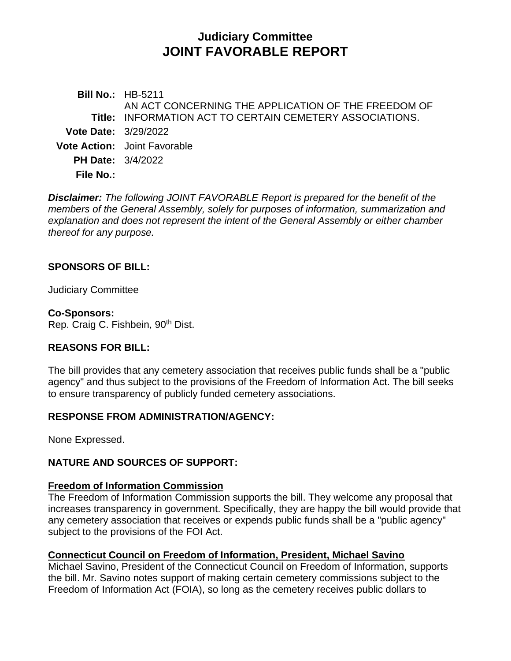# **Judiciary Committee JOINT FAVORABLE REPORT**

**Bill No.:** HB-5211 **Title:** INFORMATION ACT TO CERTAIN CEMETERY ASSOCIATIONS. AN ACT CONCERNING THE APPLICATION OF THE FREEDOM OF **Vote Date:** 3/29/2022 **Vote Action:** Joint Favorable **PH Date:** 3/4/2022 **File No.:**

*Disclaimer: The following JOINT FAVORABLE Report is prepared for the benefit of the members of the General Assembly, solely for purposes of information, summarization and explanation and does not represent the intent of the General Assembly or either chamber thereof for any purpose.*

#### **SPONSORS OF BILL:**

Judiciary Committee

#### **Co-Sponsors:**

Rep. Craig C. Fishbein, 90<sup>th</sup> Dist.

#### **REASONS FOR BILL:**

The bill provides that any cemetery association that receives public funds shall be a "public agency" and thus subject to the provisions of the Freedom of Information Act. The bill seeks to ensure transparency of publicly funded cemetery associations.

#### **RESPONSE FROM ADMINISTRATION/AGENCY:**

None Expressed.

#### **NATURE AND SOURCES OF SUPPORT:**

#### **Freedom of Information Commission**

The Freedom of Information Commission supports the bill. They welcome any proposal that increases transparency in government. Specifically, they are happy the bill would provide that any cemetery association that receives or expends public funds shall be a "public agency" subject to the provisions of the FOI Act.

#### **Connecticut Council on Freedom of Information, President, Michael Savino**

Michael Savino, President of the Connecticut Council on Freedom of Information, supports the bill. Mr. Savino notes support of making certain cemetery commissions subject to the Freedom of Information Act (FOIA), so long as the cemetery receives public dollars to